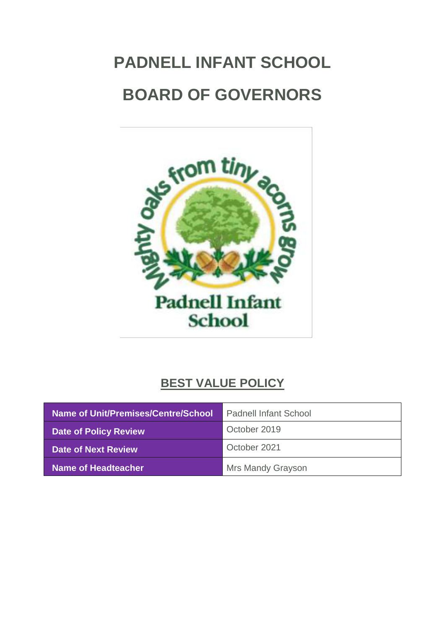# <span id="page-0-0"></span>**PADNELL INFANT SCHOOL BOARD OF GOVERNORS**



# **BEST VALUE POLICY**

| Name of Unit/Premises/Centre/School | <b>Padnell Infant School</b> |
|-------------------------------------|------------------------------|
| <b>Date of Policy Review</b>        | October 2019                 |
| Date of Next Review                 | October 2021                 |
| <b>Name of Headteacher</b>          | <b>Mrs Mandy Grayson</b>     |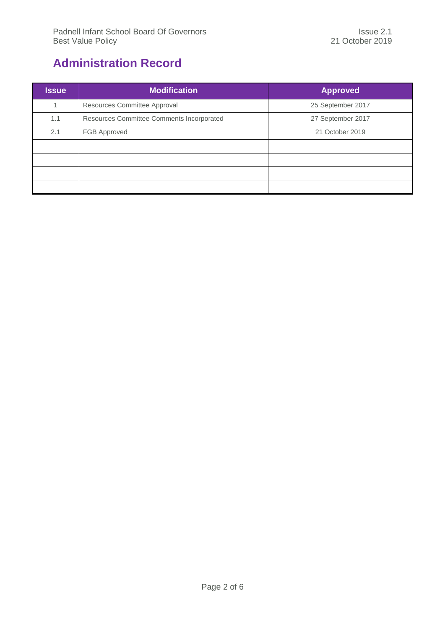# <span id="page-1-0"></span>**Administration Record**

| <b>Issue</b> | <b>Modification</b>                       | <b>Approved</b>   |
|--------------|-------------------------------------------|-------------------|
|              | Resources Committee Approval              | 25 September 2017 |
| 1.1          | Resources Committee Comments Incorporated | 27 September 2017 |
| 2.1          | FGB Approved                              | 21 October 2019   |
|              |                                           |                   |
|              |                                           |                   |
|              |                                           |                   |
|              |                                           |                   |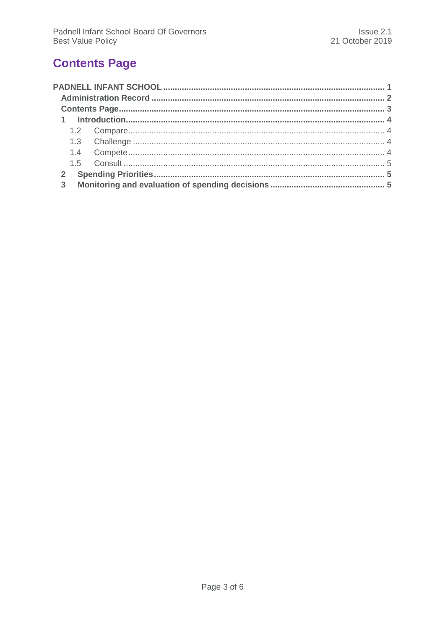# <span id="page-2-0"></span>**Contents Page**

| 3 |
|---|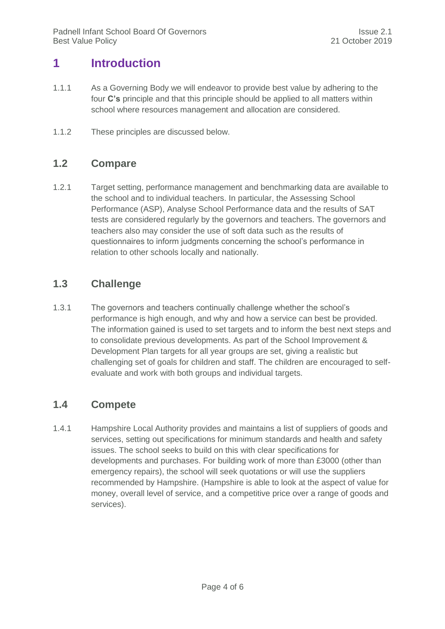## <span id="page-3-0"></span>**1 Introduction**

- 1.1.1 As a Governing Body we will endeavor to provide best value by adhering to the four **C's** principle and that this principle should be applied to all matters within school where resources management and allocation are considered.
- <span id="page-3-1"></span>1.1.2 These principles are discussed below.

#### **1.2 Compare**

1.2.1 Target setting, performance management and benchmarking data are available to the school and to individual teachers. In particular, the Assessing School Performance (ASP), Analyse School Performance data and the results of SAT tests are considered regularly by the governors and teachers. The governors and teachers also may consider the use of soft data such as the results of questionnaires to inform judgments concerning the school's performance in relation to other schools locally and nationally.

#### <span id="page-3-2"></span>**1.3 Challenge**

1.3.1 The governors and teachers continually challenge whether the school's performance is high enough, and why and how a service can best be provided. The information gained is used to set targets and to inform the best next steps and to consolidate previous developments. As part of the School Improvement & Development Plan targets for all year groups are set, giving a realistic but challenging set of goals for children and staff. The children are encouraged to selfevaluate and work with both groups and individual targets.

#### <span id="page-3-3"></span>**1.4 Compete**

1.4.1 Hampshire Local Authority provides and maintains a list of suppliers of goods and services, setting out specifications for minimum standards and health and safety issues. The school seeks to build on this with clear specifications for developments and purchases. For building work of more than £3000 (other than emergency repairs), the school will seek quotations or will use the suppliers recommended by Hampshire. (Hampshire is able to look at the aspect of value for money, overall level of service, and a competitive price over a range of goods and services).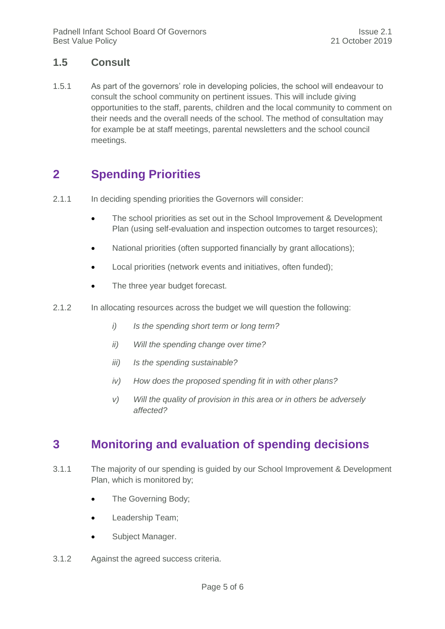#### <span id="page-4-0"></span>**1.5 Consult**

1.5.1 As part of the governors' role in developing policies, the school will endeavour to consult the school community on pertinent issues. This will include giving opportunities to the staff, parents, children and the local community to comment on their needs and the overall needs of the school. The method of consultation may for example be at staff meetings, parental newsletters and the school council meetings.

## <span id="page-4-1"></span>**2 Spending Priorities**

- 2.1.1 In deciding spending priorities the Governors will consider:
	- The school priorities as set out in the School Improvement & Development Plan (using self-evaluation and inspection outcomes to target resources);
	- National priorities (often supported financially by grant allocations);
	- Local priorities (network events and initiatives, often funded);
	- The three year budget forecast.
- 2.1.2 In allocating resources across the budget we will question the following:
	- *i) Is the spending short term or long term?*
	- *ii) Will the spending change over time?*
	- *iii) Is the spending sustainable?*
	- *iv) How does the proposed spending fit in with other plans?*
	- *v) Will the quality of provision in this area or in others be adversely affected?*

## <span id="page-4-2"></span>**3 Monitoring and evaluation of spending decisions**

- 3.1.1 The majority of our spending is guided by our School Improvement & Development Plan, which is monitored by;
	- The Governing Body;
	- Leadership Team;
	- Subject Manager.
- 3.1.2 Against the agreed success criteria.